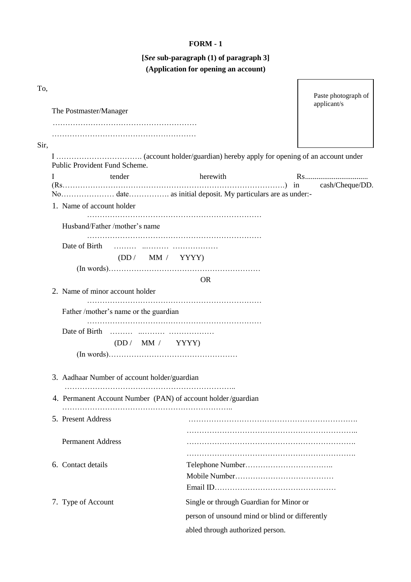## **FORM - 1**

## **[***See* **sub-paragraph (1) of paragraph 3] (Application for opening an account)**

r

٦

| To,                |                                              |                                                              | Paste photograph of<br>applicant/s |
|--------------------|----------------------------------------------|--------------------------------------------------------------|------------------------------------|
|                    | The Postmaster/Manager                       |                                                              |                                    |
|                    |                                              |                                                              |                                    |
| Sir,               |                                              |                                                              |                                    |
|                    | Public Provident Fund Scheme.                |                                                              |                                    |
| I                  | tender                                       | herewith                                                     |                                    |
|                    |                                              |                                                              |                                    |
|                    | 1. Name of account holder                    |                                                              |                                    |
|                    | Husband/Father/mother's name                 |                                                              |                                    |
|                    |                                              |                                                              |                                    |
|                    |                                              | (DD / MM / YYYY)                                             |                                    |
|                    |                                              | <b>OR</b>                                                    |                                    |
|                    | 2. Name of minor account holder              |                                                              |                                    |
|                    | Father /mother's name or the guardian        |                                                              |                                    |
|                    |                                              |                                                              |                                    |
|                    | (DD / MM / YYYY)                             |                                                              |                                    |
|                    |                                              |                                                              |                                    |
|                    | 3. Aadhaar Number of account holder/guardian |                                                              |                                    |
|                    |                                              | 4. Permanent Account Number (PAN) of account holder/guardian |                                    |
|                    |                                              |                                                              |                                    |
|                    | 5. Present Address                           |                                                              |                                    |
|                    | <b>Permanent Address</b>                     |                                                              |                                    |
|                    |                                              |                                                              |                                    |
| 6. Contact details |                                              |                                                              |                                    |
|                    |                                              |                                                              |                                    |
|                    |                                              |                                                              |                                    |
|                    | 7. Type of Account                           | Single or through Guardian for Minor or                      |                                    |
|                    |                                              | person of unsound mind or blind or differently               |                                    |
|                    |                                              | abled through authorized person.                             |                                    |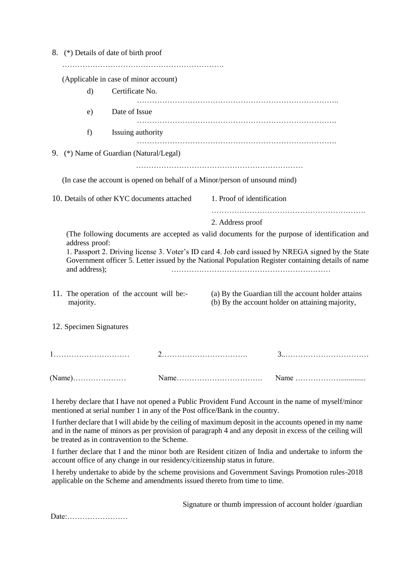|                                                         | 8. (*) Details of date of birth proof       |                                                                                                         |                                                                             |                                                                                                                                                                                                         |
|---------------------------------------------------------|---------------------------------------------|---------------------------------------------------------------------------------------------------------|-----------------------------------------------------------------------------|---------------------------------------------------------------------------------------------------------------------------------------------------------------------------------------------------------|
|                                                         | (Applicable in case of minor account)       |                                                                                                         |                                                                             |                                                                                                                                                                                                         |
| $\mathbf{d}$                                            | Certificate No.                             |                                                                                                         |                                                                             |                                                                                                                                                                                                         |
| e)                                                      | Date of Issue                               |                                                                                                         |                                                                             |                                                                                                                                                                                                         |
| f)                                                      | Issuing authority                           |                                                                                                         |                                                                             |                                                                                                                                                                                                         |
|                                                         | 9. (*) Name of Guardian (Natural/Legal)     |                                                                                                         |                                                                             |                                                                                                                                                                                                         |
|                                                         |                                             |                                                                                                         | (In case the account is opened on behalf of a Minor/person of unsound mind) |                                                                                                                                                                                                         |
|                                                         | 10. Details of other KYC documents attached |                                                                                                         | 1. Proof of identification                                                  |                                                                                                                                                                                                         |
|                                                         |                                             |                                                                                                         | 2. Address proof                                                            |                                                                                                                                                                                                         |
| address proof:                                          |                                             |                                                                                                         |                                                                             | (The following documents are accepted as valid documents for the purpose of identification and                                                                                                          |
| and address);                                           |                                             |                                                                                                         |                                                                             | 1. Passport 2. Driving license 3. Voter's ID card 4. Job card issued by NREGA signed by the State<br>Government officer 5. Letter issued by the National Population Register containing details of name |
| 11. The operation of the account will be:-<br>majority. |                                             | (a) By the Guardian till the account holder attains<br>(b) By the account holder on attaining majority, |                                                                             |                                                                                                                                                                                                         |
| 12. Specimen Signatures                                 |                                             |                                                                                                         |                                                                             |                                                                                                                                                                                                         |
|                                                         |                                             |                                                                                                         |                                                                             |                                                                                                                                                                                                         |
|                                                         |                                             |                                                                                                         |                                                                             |                                                                                                                                                                                                         |

I hereby declare that I have not opened a Public Provident Fund Account in the name of myself/minor mentioned at serial number 1 in any of the Post office/Bank in the country.

I further declare that I will abide by the ceiling of maximum deposit in the accounts opened in my name and in the name of minors as per provision of paragraph 4 and any deposit in excess of the ceiling will be treated as in contravention to the Scheme.

I further declare that I and the minor both are Resident citizen of India and undertake to inform the account office of any change in our residency/citizenship status in future.

I hereby undertake to abide by the scheme provisions and Government Savings Promotion rules-2018 applicable on the Scheme and amendments issued thereto from time to time.

Signature or thumb impression of account holder /guardian

Date:……………………